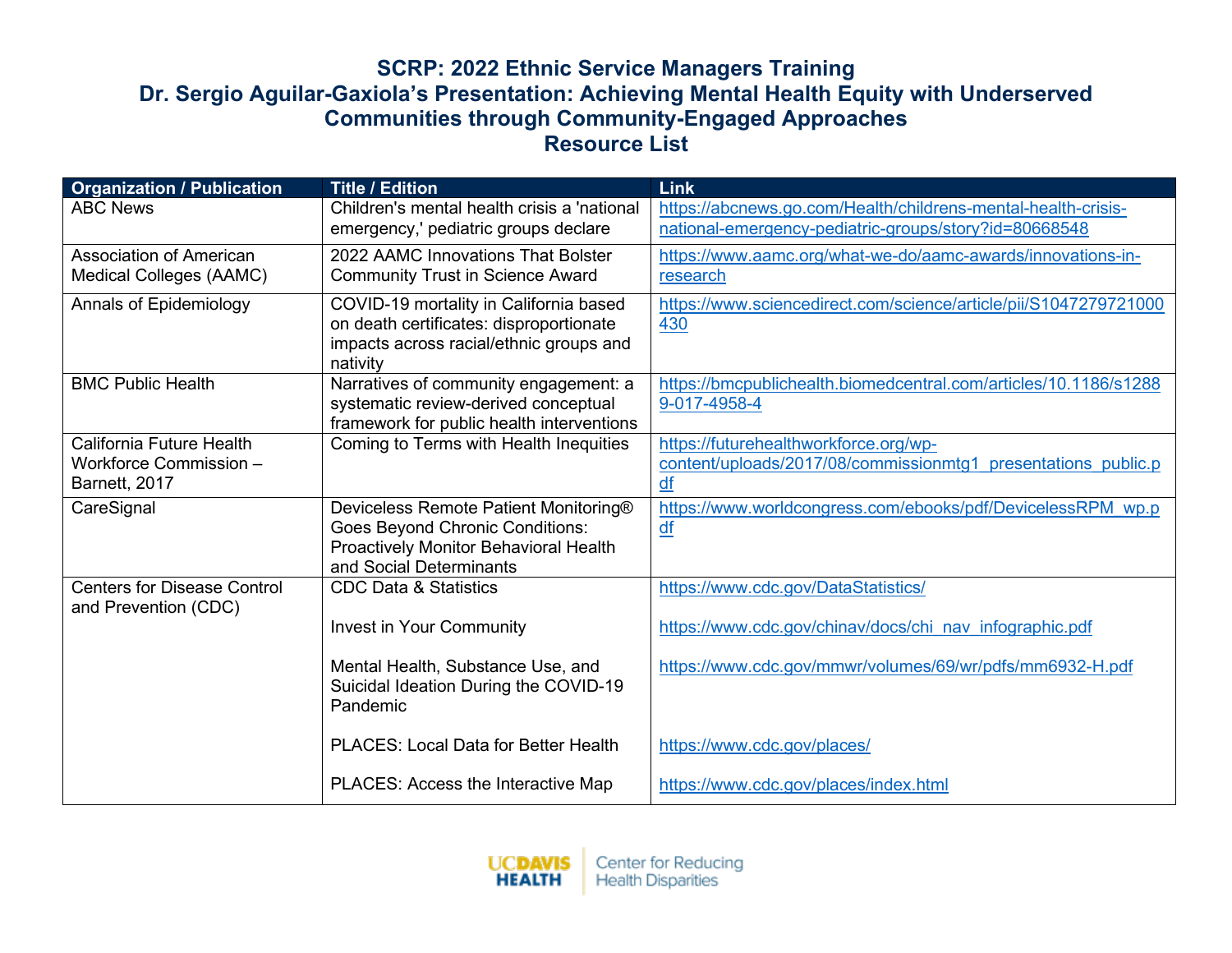| <b>Organization / Publication</b>                          | <b>Title / Edition</b>                              | <b>Link</b>                                                      |
|------------------------------------------------------------|-----------------------------------------------------|------------------------------------------------------------------|
| <b>ABC News</b>                                            | Children's mental health crisis a 'national         | https://abcnews.go.com/Health/childrens-mental-health-crisis-    |
|                                                            | emergency,' pediatric groups declare                | national-emergency-pediatric-groups/story?id=80668548            |
| <b>Association of American</b>                             | 2022 AAMC Innovations That Bolster                  | https://www.aamc.org/what-we-do/aamc-awards/innovations-in-      |
| <b>Medical Colleges (AAMC)</b>                             | <b>Community Trust in Science Award</b>             | research                                                         |
| Annals of Epidemiology                                     | COVID-19 mortality in California based              | https://www.sciencedirect.com/science/article/pii/S1047279721000 |
|                                                            | on death certificates: disproportionate             | 430                                                              |
|                                                            | impacts across racial/ethnic groups and<br>nativity |                                                                  |
| <b>BMC Public Health</b>                                   | Narratives of community engagement: a               | https://bmcpublichealth.biomedcentral.com/articles/10.1186/s1288 |
|                                                            | systematic review-derived conceptual                | 9-017-4958-4                                                     |
|                                                            | framework for public health interventions           |                                                                  |
| California Future Health                                   | Coming to Terms with Health Inequities              | https://futurehealthworkforce.org/wp-                            |
| Workforce Commission -                                     |                                                     | content/uploads/2017/08/commissionmtg1 presentations public.p    |
| Barnett, 2017                                              |                                                     | df                                                               |
| CareSignal                                                 | Deviceless Remote Patient Monitoring®               | https://www.worldcongress.com/ebooks/pdf/DevicelessRPM_wp.p      |
|                                                            | <b>Goes Beyond Chronic Conditions:</b>              | $\underline{df}$                                                 |
|                                                            | Proactively Monitor Behavioral Health               |                                                                  |
|                                                            | and Social Determinants                             |                                                                  |
| <b>Centers for Disease Control</b><br>and Prevention (CDC) | <b>CDC Data &amp; Statistics</b>                    | https://www.cdc.gov/DataStatistics/                              |
|                                                            | <b>Invest in Your Community</b>                     | https://www.cdc.gov/chinav/docs/chi_nav_infographic.pdf          |
|                                                            | Mental Health, Substance Use, and                   | https://www.cdc.gov/mmwr/volumes/69/wr/pdfs/mm6932-H.pdf         |
|                                                            | Suicidal Ideation During the COVID-19               |                                                                  |
|                                                            | Pandemic                                            |                                                                  |
|                                                            | PLACES: Local Data for Better Health                | https://www.cdc.gov/places/                                      |
|                                                            |                                                     |                                                                  |
|                                                            | PLACES: Access the Interactive Map                  | https://www.cdc.gov/places/index.html                            |

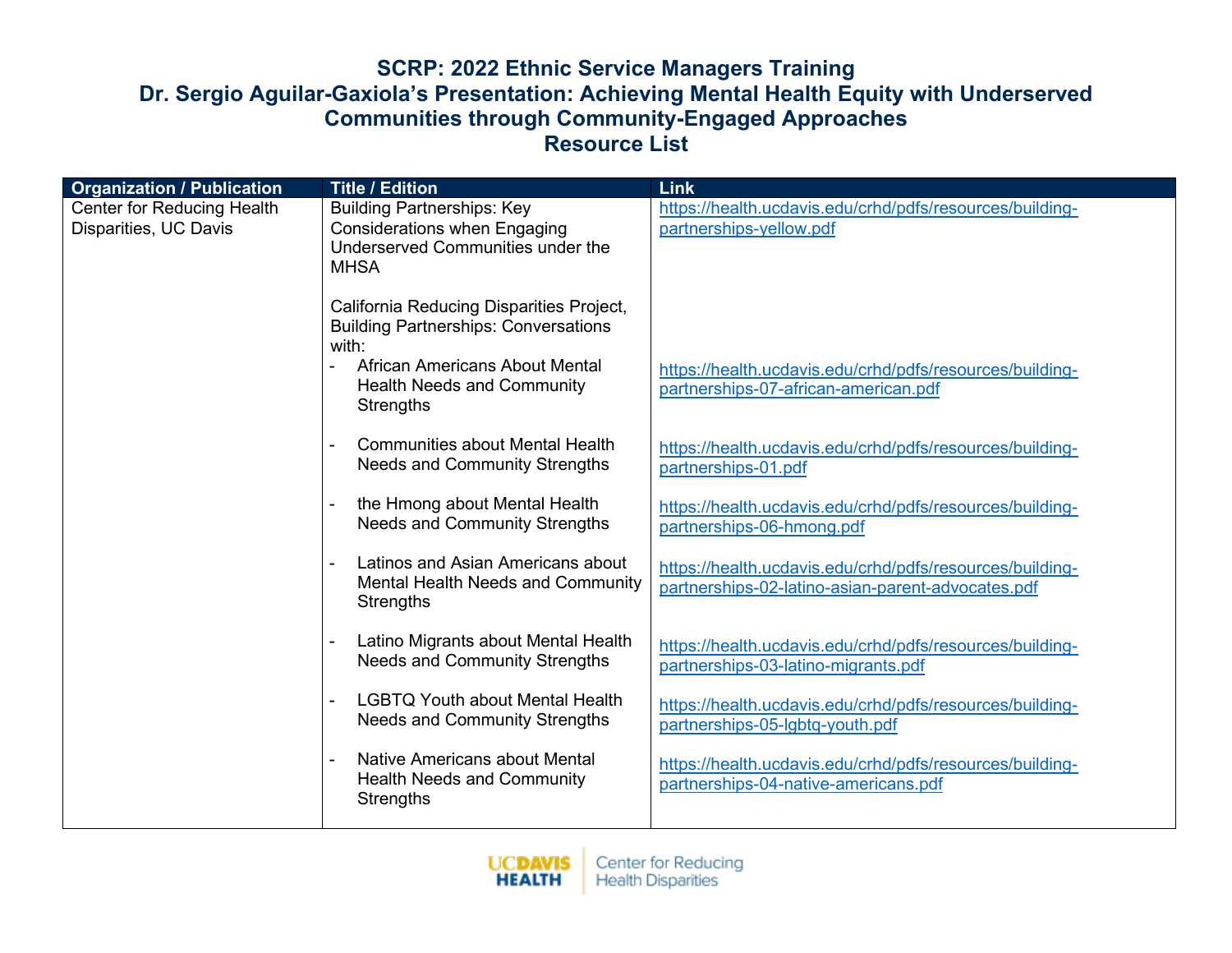| <b>Organization / Publication</b>                          | <b>Title / Edition</b>                                                                                                       | <b>Link</b>                                                                                                   |
|------------------------------------------------------------|------------------------------------------------------------------------------------------------------------------------------|---------------------------------------------------------------------------------------------------------------|
| <b>Center for Reducing Health</b><br>Disparities, UC Davis | <b>Building Partnerships: Key</b><br><b>Considerations when Engaging</b><br>Underserved Communities under the<br><b>MHSA</b> | https://health.ucdavis.edu/crhd/pdfs/resources/building-<br>partnerships-yellow.pdf                           |
|                                                            | California Reducing Disparities Project,<br><b>Building Partnerships: Conversations</b><br>with:                             |                                                                                                               |
|                                                            | African Americans About Mental<br><b>Health Needs and Community</b><br>Strengths                                             | https://health.ucdavis.edu/crhd/pdfs/resources/building-<br>partnerships-07-african-american.pdf              |
|                                                            | <b>Communities about Mental Health</b><br><b>Needs and Community Strengths</b>                                               | https://health.ucdavis.edu/crhd/pdfs/resources/building-<br>partnerships-01.pdf                               |
|                                                            | the Hmong about Mental Health<br>Needs and Community Strengths                                                               | https://health.ucdavis.edu/crhd/pdfs/resources/building-<br>partnerships-06-hmong.pdf                         |
|                                                            | Latinos and Asian Americans about<br><b>Mental Health Needs and Community</b><br>Strengths                                   | https://health.ucdavis.edu/crhd/pdfs/resources/building-<br>partnerships-02-latino-asian-parent-advocates.pdf |
|                                                            | Latino Migrants about Mental Health<br><b>Needs and Community Strengths</b>                                                  | https://health.ucdavis.edu/crhd/pdfs/resources/building-<br>partnerships-03-latino-migrants.pdf               |
|                                                            | <b>LGBTQ Youth about Mental Health</b><br><b>Needs and Community Strengths</b>                                               | https://health.ucdavis.edu/crhd/pdfs/resources/building-<br>partnerships-05-lgbtq-youth.pdf                   |
|                                                            | Native Americans about Mental<br><b>Health Needs and Community</b><br>Strengths                                              | https://health.ucdavis.edu/crhd/pdfs/resources/building-<br>partnerships-04-native-americans.pdf              |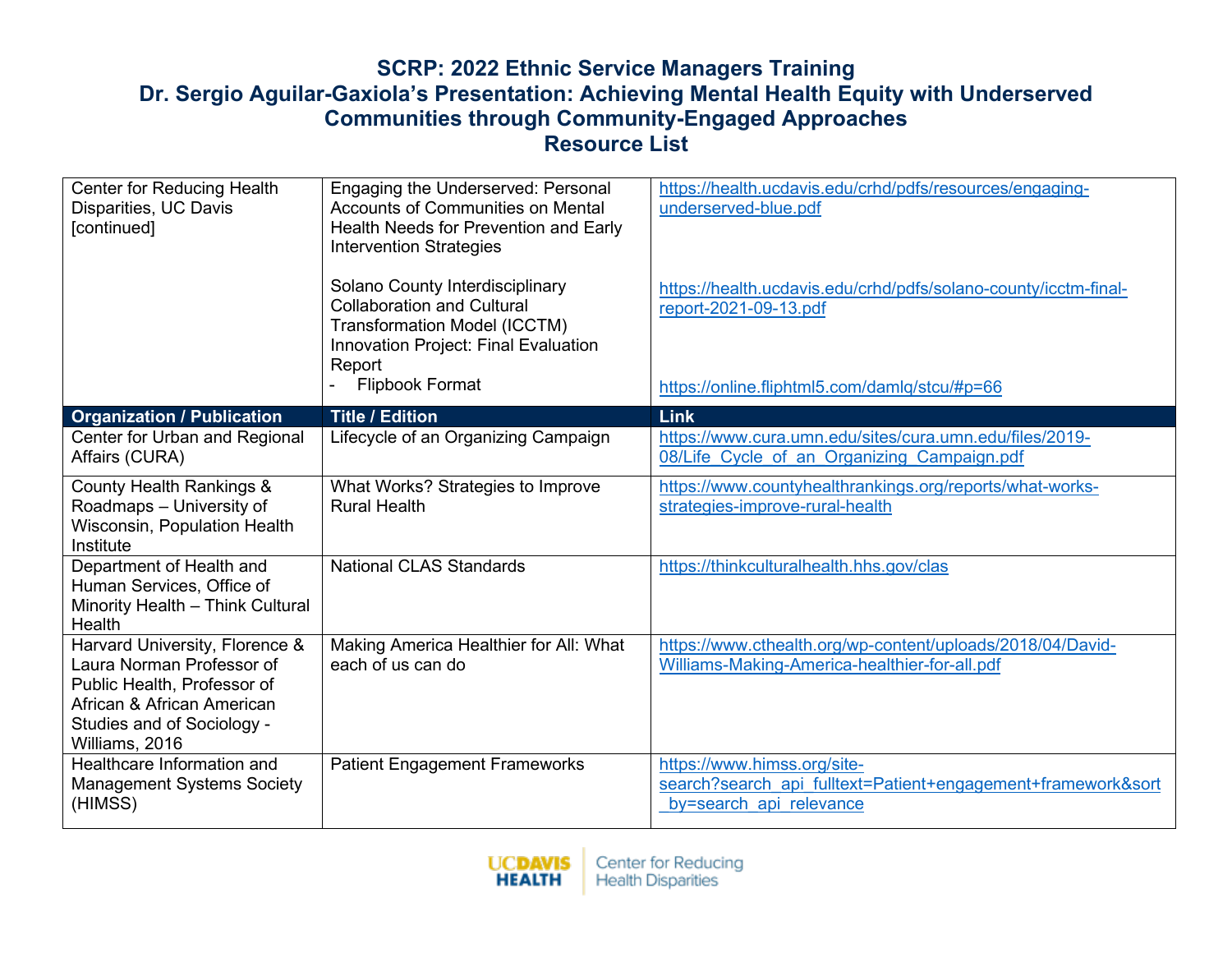| <b>Center for Reducing Health</b><br>Disparities, UC Davis<br>[continued]                                                                                                | Engaging the Underserved: Personal<br><b>Accounts of Communities on Mental</b><br>Health Needs for Prevention and Early<br><b>Intervention Strategies</b><br>Solano County Interdisciplinary<br><b>Collaboration and Cultural</b><br><b>Transformation Model (ICCTM)</b><br>Innovation Project: Final Evaluation<br>Report<br><b>Flipbook Format</b> | https://health.ucdavis.edu/crhd/pdfs/resources/engaging-<br>underserved-blue.pdf<br>https://health.ucdavis.edu/crhd/pdfs/solano-county/icctm-final-<br>report-2021-09-13.pdf<br>https://online.fliphtml5.com/damlq/stcu/#p=66 |
|--------------------------------------------------------------------------------------------------------------------------------------------------------------------------|------------------------------------------------------------------------------------------------------------------------------------------------------------------------------------------------------------------------------------------------------------------------------------------------------------------------------------------------------|-------------------------------------------------------------------------------------------------------------------------------------------------------------------------------------------------------------------------------|
| <b>Organization / Publication</b>                                                                                                                                        | <b>Title / Edition</b>                                                                                                                                                                                                                                                                                                                               | Link                                                                                                                                                                                                                          |
| Center for Urban and Regional<br>Affairs (CURA)                                                                                                                          | Lifecycle of an Organizing Campaign                                                                                                                                                                                                                                                                                                                  | https://www.cura.umn.edu/sites/cura.umn.edu/files/2019-<br>08/Life Cycle of an Organizing Campaign.pdf                                                                                                                        |
| <b>County Health Rankings &amp;</b><br>Roadmaps - University of<br>Wisconsin, Population Health<br>Institute                                                             | What Works? Strategies to Improve<br><b>Rural Health</b>                                                                                                                                                                                                                                                                                             | https://www.countyhealthrankings.org/reports/what-works-<br>strategies-improve-rural-health                                                                                                                                   |
| Department of Health and<br>Human Services, Office of<br>Minority Health - Think Cultural<br>Health                                                                      | <b>National CLAS Standards</b>                                                                                                                                                                                                                                                                                                                       | https://thinkculturalhealth.hhs.gov/clas                                                                                                                                                                                      |
| Harvard University, Florence &<br>Laura Norman Professor of<br>Public Health, Professor of<br>African & African American<br>Studies and of Sociology -<br>Williams, 2016 | Making America Healthier for All: What<br>each of us can do                                                                                                                                                                                                                                                                                          | https://www.cthealth.org/wp-content/uploads/2018/04/David-<br>Williams-Making-America-healthier-for-all.pdf                                                                                                                   |
| Healthcare Information and<br><b>Management Systems Society</b><br>(HIMSS)                                                                                               | <b>Patient Engagement Frameworks</b>                                                                                                                                                                                                                                                                                                                 | https://www.himss.org/site-<br>search?search api fulltext=Patient+engagement+framework&sort<br>by=search api relevance                                                                                                        |

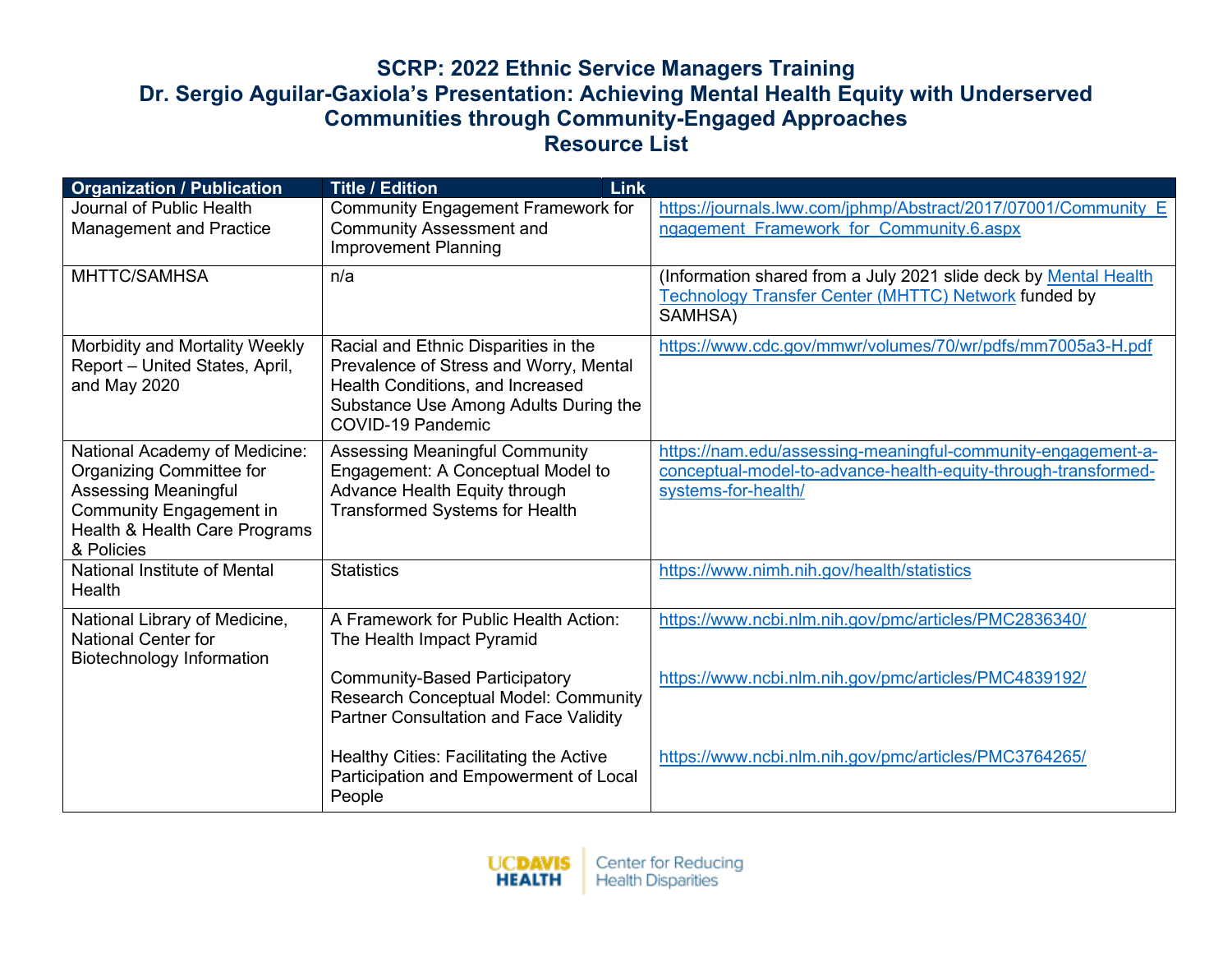| <b>Organization / Publication</b>                                                                                                                                  | <b>Title / Edition</b><br><b>Link</b>                                                                                                                                            |                                                                                                                                                       |
|--------------------------------------------------------------------------------------------------------------------------------------------------------------------|----------------------------------------------------------------------------------------------------------------------------------------------------------------------------------|-------------------------------------------------------------------------------------------------------------------------------------------------------|
| Journal of Public Health<br><b>Management and Practice</b>                                                                                                         | <b>Community Engagement Framework for</b><br><b>Community Assessment and</b><br><b>Improvement Planning</b>                                                                      | https://journals.lww.com/jphmp/Abstract/2017/07001/Community E<br>ngagement Framework for Community.6.aspx                                            |
| MHTTC/SAMHSA                                                                                                                                                       | n/a                                                                                                                                                                              | (Information shared from a July 2021 slide deck by Mental Health<br><b>Technology Transfer Center (MHTTC) Network funded by</b><br>SAMHSA)            |
| Morbidity and Mortality Weekly<br>Report - United States, April,<br>and May 2020                                                                                   | Racial and Ethnic Disparities in the<br>Prevalence of Stress and Worry, Mental<br>Health Conditions, and Increased<br>Substance Use Among Adults During the<br>COVID-19 Pandemic | https://www.cdc.gov/mmwr/volumes/70/wr/pdfs/mm7005a3-H.pdf                                                                                            |
| National Academy of Medicine:<br>Organizing Committee for<br><b>Assessing Meaningful</b><br>Community Engagement in<br>Health & Health Care Programs<br>& Policies | <b>Assessing Meaningful Community</b><br>Engagement: A Conceptual Model to<br>Advance Health Equity through<br><b>Transformed Systems for Health</b>                             | https://nam.edu/assessing-meaningful-community-engagement-a-<br>conceptual-model-to-advance-health-equity-through-transformed-<br>systems-for-health/ |
| National Institute of Mental<br>Health                                                                                                                             | <b>Statistics</b>                                                                                                                                                                | https://www.nimh.nih.gov/health/statistics                                                                                                            |
| National Library of Medicine,<br><b>National Center for</b><br><b>Biotechnology Information</b>                                                                    | A Framework for Public Health Action:<br>The Health Impact Pyramid                                                                                                               | https://www.ncbi.nlm.nih.gov/pmc/articles/PMC2836340/                                                                                                 |
|                                                                                                                                                                    | <b>Community-Based Participatory</b><br>Research Conceptual Model: Community<br><b>Partner Consultation and Face Validity</b>                                                    | https://www.ncbi.nlm.nih.gov/pmc/articles/PMC4839192/                                                                                                 |
|                                                                                                                                                                    | Healthy Cities: Facilitating the Active<br>Participation and Empowerment of Local<br>People                                                                                      | https://www.ncbi.nlm.nih.gov/pmc/articles/PMC3764265/                                                                                                 |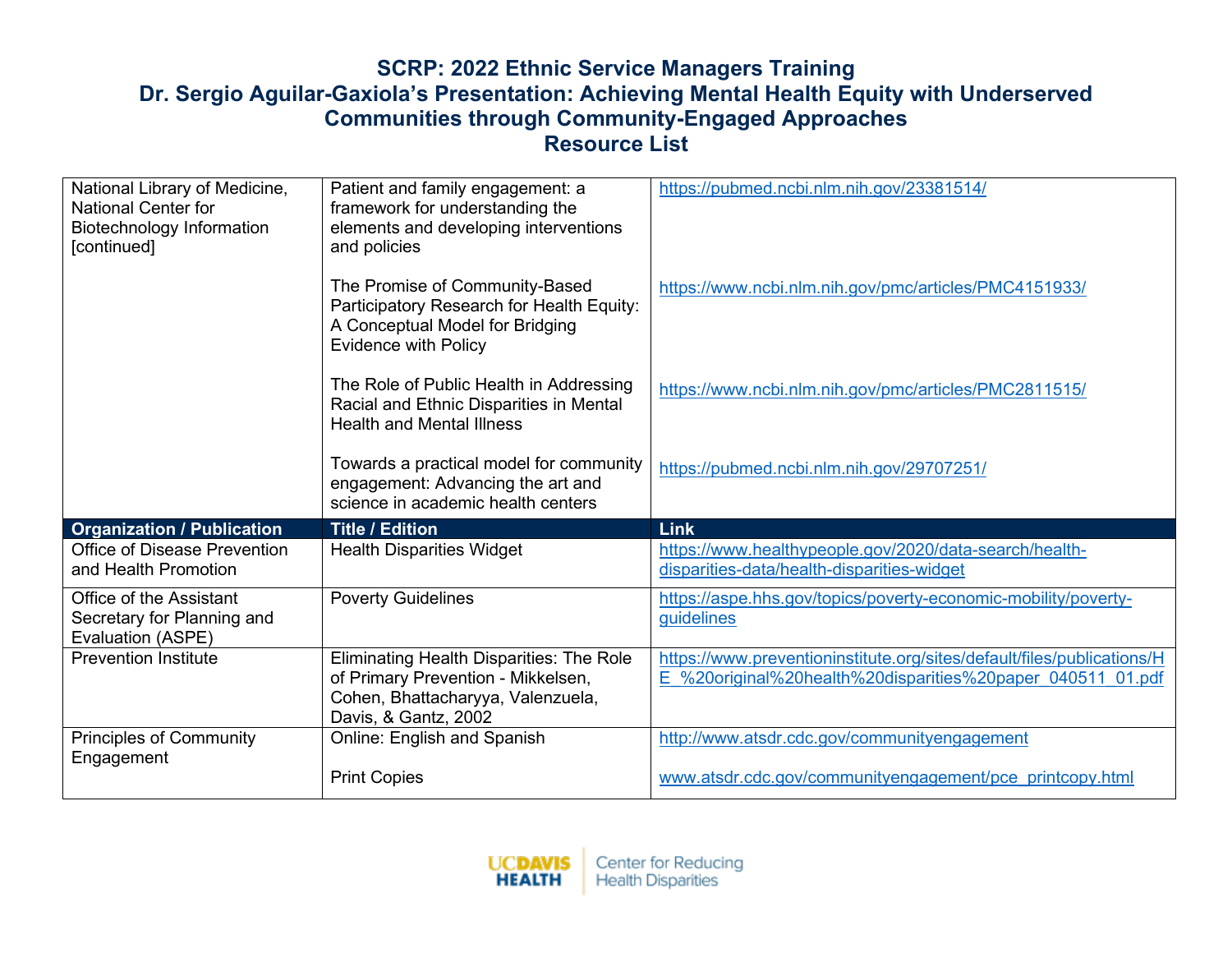| National Library of Medicine,<br><b>National Center for</b><br><b>Biotechnology Information</b><br>[continued] | Patient and family engagement: a<br>framework for understanding the<br>elements and developing interventions<br>and policies                  | https://pubmed.ncbi.nlm.nih.gov/23381514/                                                                                            |
|----------------------------------------------------------------------------------------------------------------|-----------------------------------------------------------------------------------------------------------------------------------------------|--------------------------------------------------------------------------------------------------------------------------------------|
|                                                                                                                | The Promise of Community-Based<br>Participatory Research for Health Equity:<br>A Conceptual Model for Bridging<br><b>Evidence with Policy</b> | https://www.ncbi.nlm.nih.gov/pmc/articles/PMC4151933/                                                                                |
|                                                                                                                | The Role of Public Health in Addressing<br>Racial and Ethnic Disparities in Mental<br><b>Health and Mental Illness</b>                        | https://www.ncbi.nlm.nih.gov/pmc/articles/PMC2811515/                                                                                |
|                                                                                                                | Towards a practical model for community<br>engagement: Advancing the art and<br>science in academic health centers                            | https://pubmed.ncbi.nlm.nih.gov/29707251/                                                                                            |
|                                                                                                                |                                                                                                                                               | Link                                                                                                                                 |
| <b>Organization / Publication</b>                                                                              | <b>Title / Edition</b>                                                                                                                        |                                                                                                                                      |
| Office of Disease Prevention<br>and Health Promotion                                                           | <b>Health Disparities Widget</b>                                                                                                              | https://www.healthypeople.gov/2020/data-search/health-<br>disparities-data/health-disparities-widget                                 |
| Office of the Assistant<br>Secretary for Planning and<br>Evaluation (ASPE)                                     | <b>Poverty Guidelines</b>                                                                                                                     | https://aspe.hhs.gov/topics/poverty-economic-mobility/poverty-<br>guidelines                                                         |
| <b>Prevention Institute</b>                                                                                    | Eliminating Health Disparities: The Role<br>of Primary Prevention - Mikkelsen,<br>Cohen, Bhattacharyya, Valenzuela,                           | https://www.preventioninstitute.org/sites/default/files/publications/H<br>E %20original%20health%20disparities%20paper 040511 01.pdf |
|                                                                                                                | Davis, & Gantz, 2002                                                                                                                          |                                                                                                                                      |
| <b>Principles of Community</b><br>Engagement                                                                   | Online: English and Spanish                                                                                                                   | http://www.atsdr.cdc.gov/communityengagement                                                                                         |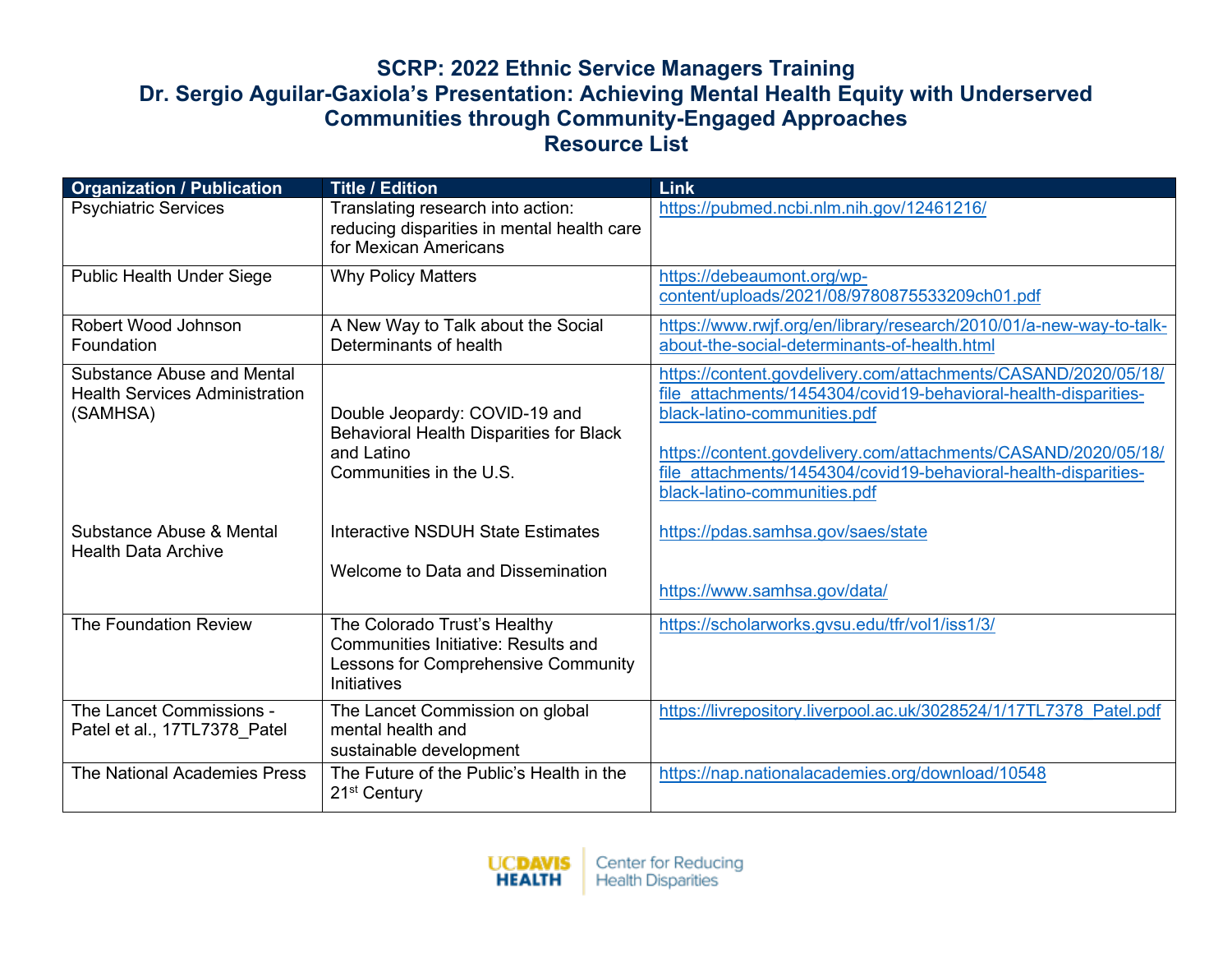| <b>Organization / Publication</b>                                               | <b>Title / Edition</b>                                                                                                           | Link                                                                                                                                                                                                                                                                                                                                   |
|---------------------------------------------------------------------------------|----------------------------------------------------------------------------------------------------------------------------------|----------------------------------------------------------------------------------------------------------------------------------------------------------------------------------------------------------------------------------------------------------------------------------------------------------------------------------------|
| <b>Psychiatric Services</b>                                                     | Translating research into action:<br>reducing disparities in mental health care<br>for Mexican Americans                         | https://pubmed.ncbi.nlm.nih.gov/12461216/                                                                                                                                                                                                                                                                                              |
| <b>Public Health Under Siege</b>                                                | <b>Why Policy Matters</b>                                                                                                        | https://debeaumont.org/wp-<br>content/uploads/2021/08/9780875533209ch01.pdf                                                                                                                                                                                                                                                            |
| Robert Wood Johnson<br>Foundation                                               | A New Way to Talk about the Social<br>Determinants of health                                                                     | https://www.rwjf.org/en/library/research/2010/01/a-new-way-to-talk-<br>about-the-social-determinants-of-health.html                                                                                                                                                                                                                    |
| Substance Abuse and Mental<br><b>Health Services Administration</b><br>(SAMHSA) | Double Jeopardy: COVID-19 and<br><b>Behavioral Health Disparities for Black</b><br>and Latino<br>Communities in the U.S.         | https://content.govdelivery.com/attachments/CASAND/2020/05/18/<br>file attachments/1454304/covid19-behavioral-health-disparities-<br>black-latino-communities.pdf<br>https://content.govdelivery.com/attachments/CASAND/2020/05/18/<br>file attachments/1454304/covid19-behavioral-health-disparities-<br>black-latino-communities.pdf |
| Substance Abuse & Mental<br><b>Health Data Archive</b>                          | Interactive NSDUH State Estimates<br>Welcome to Data and Dissemination                                                           | https://pdas.samhsa.gov/saes/state<br>https://www.samhsa.gov/data/                                                                                                                                                                                                                                                                     |
| <b>The Foundation Review</b>                                                    | The Colorado Trust's Healthy<br><b>Communities Initiative: Results and</b><br>Lessons for Comprehensive Community<br>Initiatives | https://scholarworks.gvsu.edu/tfr/vol1/iss1/3/                                                                                                                                                                                                                                                                                         |
| The Lancet Commissions -<br>Patel et al., 17TL7378_Patel                        | The Lancet Commission on global<br>mental health and<br>sustainable development                                                  | https://livrepository.liverpool.ac.uk/3028524/1/17TL7378 Patel.pdf                                                                                                                                                                                                                                                                     |
| The National Academies Press                                                    | The Future of the Public's Health in the<br>21 <sup>st</sup> Century                                                             | https://nap.nationalacademies.org/download/10548                                                                                                                                                                                                                                                                                       |